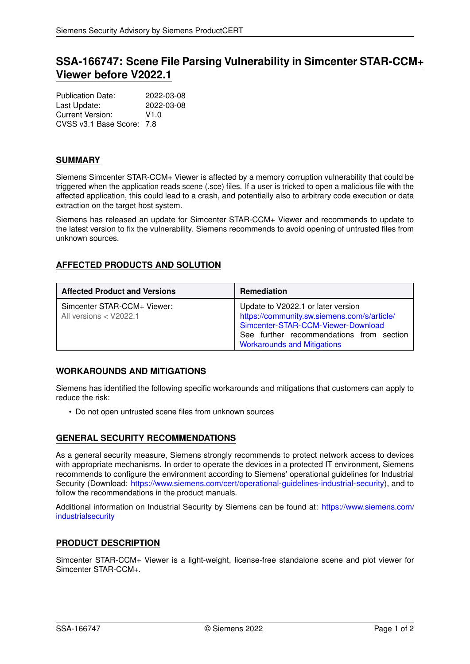# **SSA-166747: Scene File Parsing Vulnerability in Simcenter STAR-CCM+ Viewer before V2022.1**

| <b>Publication Date:</b>  | 2022-03-08 |
|---------------------------|------------|
| Last Update:              | 2022-03-08 |
| Current Version:          | V1.0       |
| CVSS v3.1 Base Score: 7.8 |            |

### **SUMMARY**

Siemens Simcenter STAR-CCM+ Viewer is affected by a memory corruption vulnerability that could be triggered when the application reads scene (.sce) files. If a user is tricked to open a malicious file with the affected application, this could lead to a crash, and potentially also to arbitrary code execution or data extraction on the target host system.

Siemens has released an update for Simcenter STAR-CCM+ Viewer and recommends to update to the latest version to fix the vulnerability. Siemens recommends to avoid opening of untrusted files from unknown sources.

## **AFFECTED PRODUCTS AND SOLUTION**

| <b>Affected Product and Versions</b>                    | <b>Remediation</b>                                                                                                                                                                                        |
|---------------------------------------------------------|-----------------------------------------------------------------------------------------------------------------------------------------------------------------------------------------------------------|
| Simcenter STAR-CCM+ Viewer:<br>All versions $<$ V2022.1 | Update to V2022.1 or later version<br>https://community.sw.siemens.com/s/article/<br>Simcenter-STAR-CCM-Viewer-Download<br>See further recommendations from section<br><b>Workarounds and Mitigations</b> |

## <span id="page-0-0"></span>**WORKAROUNDS AND MITIGATIONS**

Siemens has identified the following specific workarounds and mitigations that customers can apply to reduce the risk:

• Do not open untrusted scene files from unknown sources

## **GENERAL SECURITY RECOMMENDATIONS**

As a general security measure, Siemens strongly recommends to protect network access to devices with appropriate mechanisms. In order to operate the devices in a protected IT environment, Siemens recommends to configure the environment according to Siemens' operational guidelines for Industrial Security (Download: [https://www.siemens.com/cert/operational-guidelines-industrial-security\)](https://www.siemens.com/cert/operational-guidelines-industrial-security), and to follow the recommendations in the product manuals.

Additional information on Industrial Security by Siemens can be found at: [https://www.siemens.com/](https://www.siemens.com/industrialsecurity) [industrialsecurity](https://www.siemens.com/industrialsecurity)

#### **PRODUCT DESCRIPTION**

Simcenter STAR-CCM+ Viewer is a light-weight, license-free standalone scene and plot viewer for Simcenter STAR-CCM+.